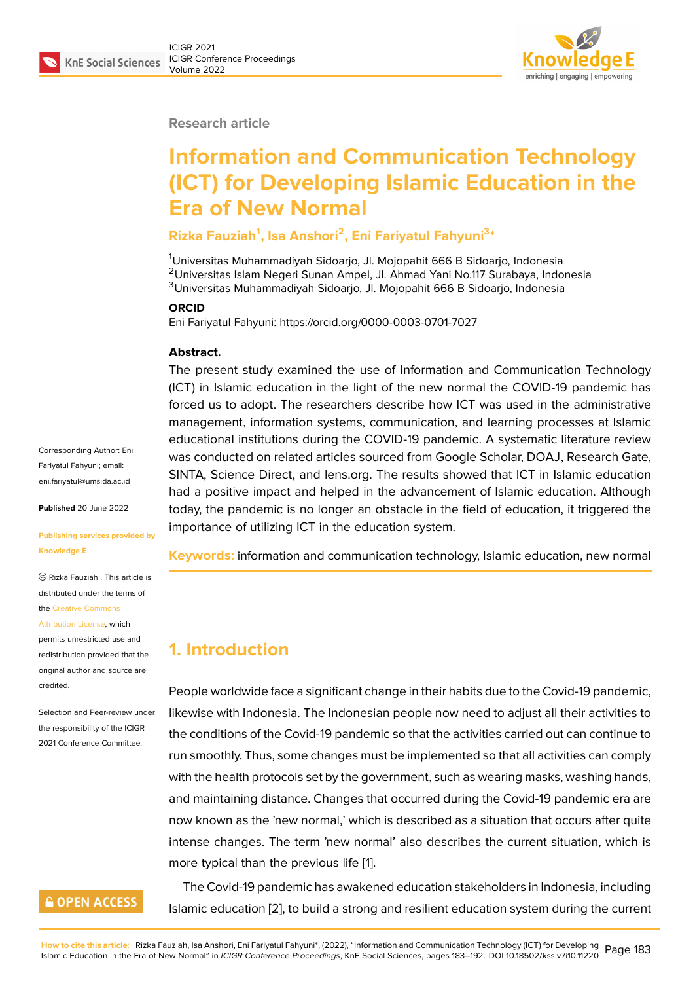

#### **Research article**

# **Information and Communication Technology (ICT) for Developing Islamic Education in the Era of New Normal**

### **Rizka Fauziah<sup>1</sup> , Isa Anshori<sup>2</sup> , Eni Fariyatul Fahyuni<sup>3</sup> \***

<sup>1</sup>Universitas Muhammadiyah Sidoarjo, Jl. Mojopahit 666 B Sidoarjo, Indonesia <sup>2</sup>Universitas Islam Negeri Sunan Ampel, Jl. Ahmad Yani No.117 Surabaya, Indonesia <sup>3</sup>Universitas Muhammadiyah Sidoarjo, Jl. Mojopahit 666 B Sidoarjo, Indonesia

#### **ORCID**

Eni Fariyatul Fahyuni: https://orcid.org/0000-0003-0701-7027

#### **Abstract.**

The present study examined the use of Information and Communication Technology (ICT) in Islamic education in the light of the new normal the COVID-19 pandemic has forced us to adopt. The researchers describe how ICT was used in the administrative management, information systems, communication, and learning processes at Islamic educational institutions during the COVID-19 pandemic. A systematic literature review was conducted on related articles sourced from Google Scholar, DOAJ, Research Gate, SINTA, Science Direct, and lens.org. The results showed that ICT in Islamic education had a positive impact and helped in the advancement of Islamic education. Although today, the pandemic is no longer an obstacle in the field of education, it triggered the importance of utilizing ICT in the education system.

**Keywords:** information and communication technology, Islamic education, new normal

## **1. Introduction**

People worldwide face a significant change in their habits due to the Covid-19 pandemic, likewise with Indonesia. The Indonesian people now need to adjust all their activities to the conditions of the Covid-19 pandemic so that the activities carried out can continue to run smoothly. Thus, some changes must be implemented so that all activities can comply with the health protocols set by the government, such as wearing masks, washing hands, and maintaining distance. Changes that occurred during the Covid-19 pandemic era are now known as the 'new normal,' which is described as a situation that occurs after quite intense changes. The term 'new normal' also describes the current situation, which is more typical than the previous life [1].

The Covid-19 pandemic has awakened education stakeholders in Indonesia, including Islamic education [2], to build a stro[n](#page-6-0)g and resilient education system during the current

Corresponding Author: Eni Fariyatul Fahyuni; email: eni.fariyatul@umsida.ac.id

**Published** 20 June 2022

#### **[Publishing services provi](mailto:eni.fariyatul@umsida.ac.id)ded by Knowledge E**

Rizka Fauziah . This article is distributed under the terms of the Creative Commons

#### Attribution License, which

permits unrestricted use and redistribution provided that the orig[inal author and sou](https://creativecommons.org/licenses/by/4.0/)rce are [credited.](https://creativecommons.org/licenses/by/4.0/)

Selection and Peer-review under the responsibility of the ICIGR 2021 Conference Committee.

## **GOPEN ACCESS**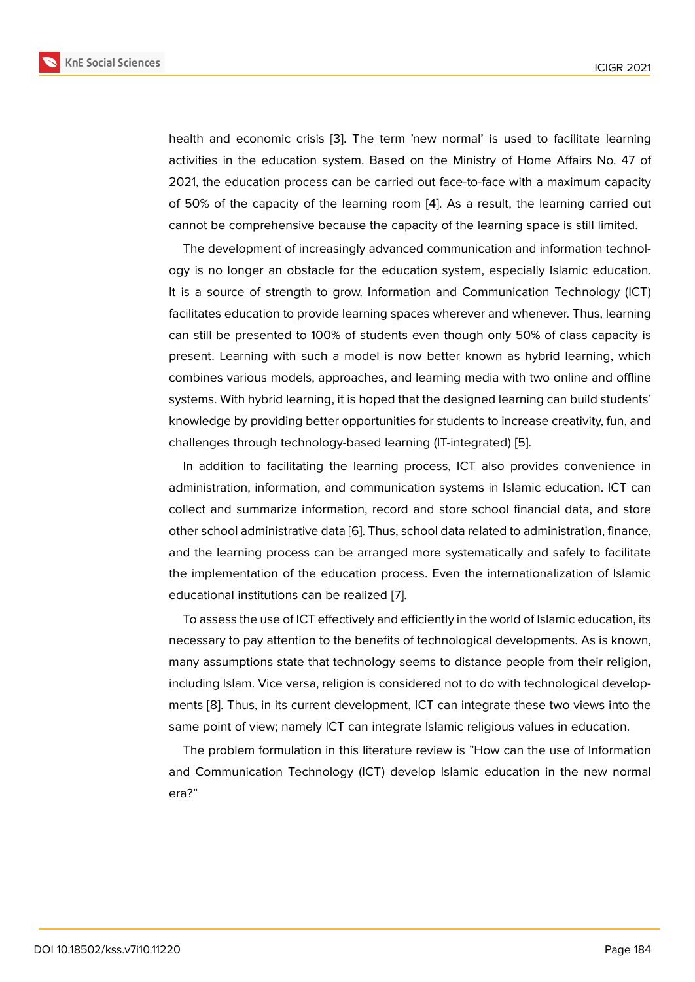health and economic crisis [3]. The term 'new normal' is used to facilitate learning activities in the education system. Based on the Ministry of Home Affairs No. 47 of 2021, the education process can be carried out face-to-face with a maximum capacity of 50% of the capacity of th[e](#page-6-1) learning room [4]. As a result, the learning carried out cannot be comprehensive because the capacity of the learning space is still limited.

The development of increasingly advanced communication and information technology is no longer an obstacle for the educati[on](#page-6-2) system, especially Islamic education. It is a source of strength to grow. Information and Communication Technology (ICT) facilitates education to provide learning spaces wherever and whenever. Thus, learning can still be presented to 100% of students even though only 50% of class capacity is present. Learning with such a model is now better known as hybrid learning, which combines various models, approaches, and learning media with two online and offline systems. With hybrid learning, it is hoped that the designed learning can build students' knowledge by providing better opportunities for students to increase creativity, fun, and challenges through technology-based learning (IT-integrated) [5].

In addition to facilitating the learning process, ICT also provides convenience in administration, information, and communication systems in Islamic education. ICT can collect and summarize information, record and store school f[in](#page-6-3)ancial data, and store other school administrative data [6]. Thus, school data related to administration, finance, and the learning process can be arranged more systematically and safely to facilitate the implementation of the education process. Even the internationalization of Islamic educational institutions can be r[ea](#page-6-4)lized [7].

To assess the use of ICT effectively and efficiently in the world of Islamic education, its necessary to pay attention to the benefits of technological developments. As is known, many assumptions state that technolog[y s](#page-6-5)eems to distance people from their religion, including Islam. Vice versa, religion is considered not to do with technological developments [8]. Thus, in its current development, ICT can integrate these two views into the same point of view; namely ICT can integrate Islamic religious values in education.

The problem formulation in this literature review is "How can the use of Information and C[om](#page-7-0)munication Technology (ICT) develop Islamic education in the new normal era?"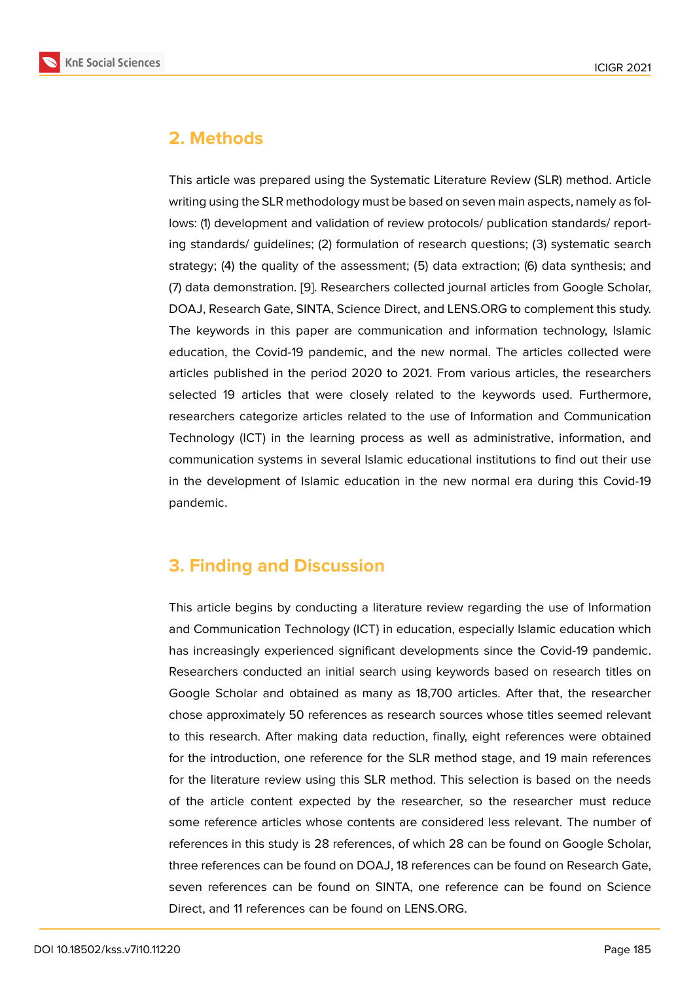# **2. Methods**

This article was prepared using the Systematic Literature Review (SLR) method. Article writing using the SLR methodology must be based on seven main aspects, namely as follows: (1) development and validation of review protocols/ publication standards/ reporting standards/ guidelines; (2) formulation of research questions; (3) systematic search strategy; (4) the quality of the assessment; (5) data extraction; (6) data synthesis; and (7) data demonstration. [9]. Researchers collected journal articles from Google Scholar, DOAJ, Research Gate, SINTA, Science Direct, and LENS.ORG to complement this study. The keywords in this paper are communication and information technology, Islamic education, the Covid-1[9 p](#page-7-1)andemic, and the new normal. The articles collected were articles published in the period 2020 to 2021. From various articles, the researchers selected 19 articles that were closely related to the keywords used. Furthermore, researchers categorize articles related to the use of Information and Communication Technology (ICT) in the learning process as well as administrative, information, and communication systems in several Islamic educational institutions to find out their use in the development of Islamic education in the new normal era during this Covid-19 pandemic.

# **3. Finding and Discussion**

This article begins by conducting a literature review regarding the use of Information and Communication Technology (ICT) in education, especially Islamic education which has increasingly experienced significant developments since the Covid-19 pandemic. Researchers conducted an initial search using keywords based on research titles on Google Scholar and obtained as many as 18,700 articles. After that, the researcher chose approximately 50 references as research sources whose titles seemed relevant to this research. After making data reduction, finally, eight references were obtained for the introduction, one reference for the SLR method stage, and 19 main references for the literature review using this SLR method. This selection is based on the needs of the article content expected by the researcher, so the researcher must reduce some reference articles whose contents are considered less relevant. The number of references in this study is 28 references, of which 28 can be found on Google Scholar, three references can be found on DOAJ, 18 references can be found on Research Gate, seven references can be found on SINTA, one reference can be found on Science Direct, and 11 references can be found on LENS.ORG.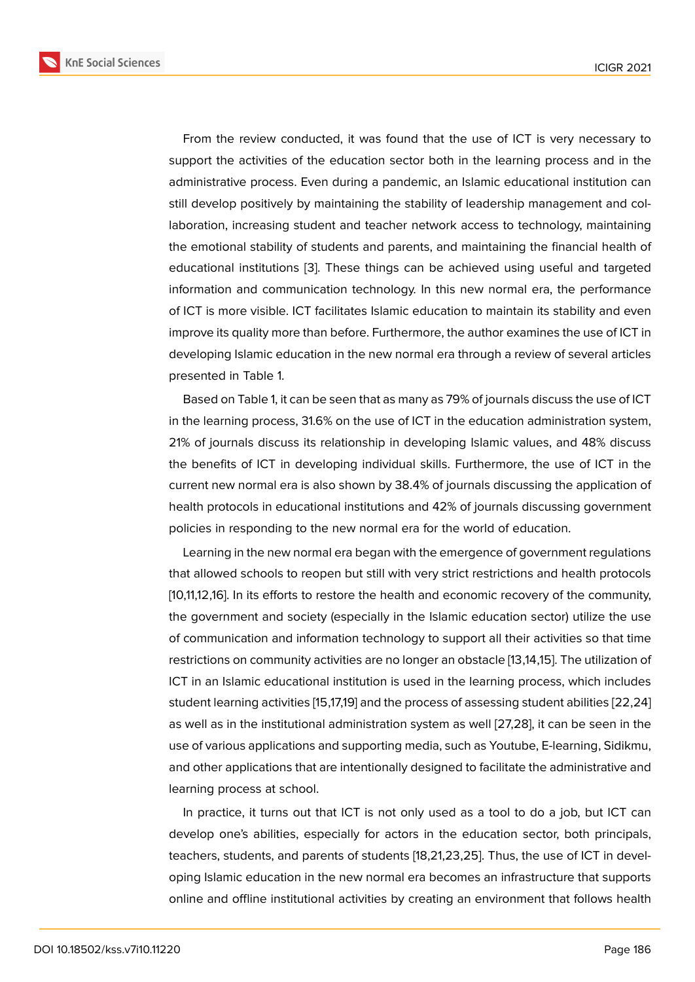From the review conducted, it was found that the use of ICT is very necessary to support the activities of the education sector both in the learning process and in the administrative process. Even during a pandemic, an Islamic educational institution can still develop positively by maintaining the stability of leadership management and collaboration, increasing student and teacher network access to technology, maintaining the emotional stability of students and parents, and maintaining the financial health of educational institutions [3]. These things can be achieved using useful and targeted information and communication technology. In this new normal era, the performance of ICT is more visible. ICT facilitates Islamic education to maintain its stability and even improve its quality more t[ha](#page-6-1)n before. Furthermore, the author examines the use of ICT in developing Islamic education in the new normal era through a review of several articles presented in Table 1.

Based on Table 1, it can be seen that as many as 79% of journals discuss the use of ICT in the learning process, 31.6% on the use of ICT in the education administration system, 21% of journals discuss its relationship in developing Islamic values, and 48% discuss the benefits of ICT in developing individual skills. Furthermore, the use of ICT in the current new normal era is also shown by 38.4% of journals discussing the application of health protocols in educational institutions and 42% of journals discussing government policies in responding to the new normal era for the world of education.

Learning in the new normal era began with the emergence of government regulations that allowed schools to reopen but still with very strict restrictions and health protocols [10,11,12,16]. In its efforts to restore the health and economic recovery of the community, the government and society (especially in the Islamic education sector) utilize the use of communication and information technology to support all their activities so that time restrictions on community activities are no longer an obstacle [13,14,15]. The utilization of ICT in an Islamic educational institution is used in the learning process, which includes student learning activities [15,17,19] and the process of assessing student abilities [22,24] as well as in the institutional administration system as well [27,28], it can be seen in the use of various applications and supporting media, such as Youtube, E-learning, Sidikmu, and other applications that are intentionally designed to facilitate the administrative and learning process at school.

In practice, it turns out that ICT is not only used as a tool to do a job, but ICT can develop one's abilities, especially for actors in the education sector, both principals, teachers, students, and parents of students [18,21,23,25]. Thus, the use of ICT in developing Islamic education in the new normal era becomes an infrastructure that supports online and offline institutional activities by creating an environment that follows health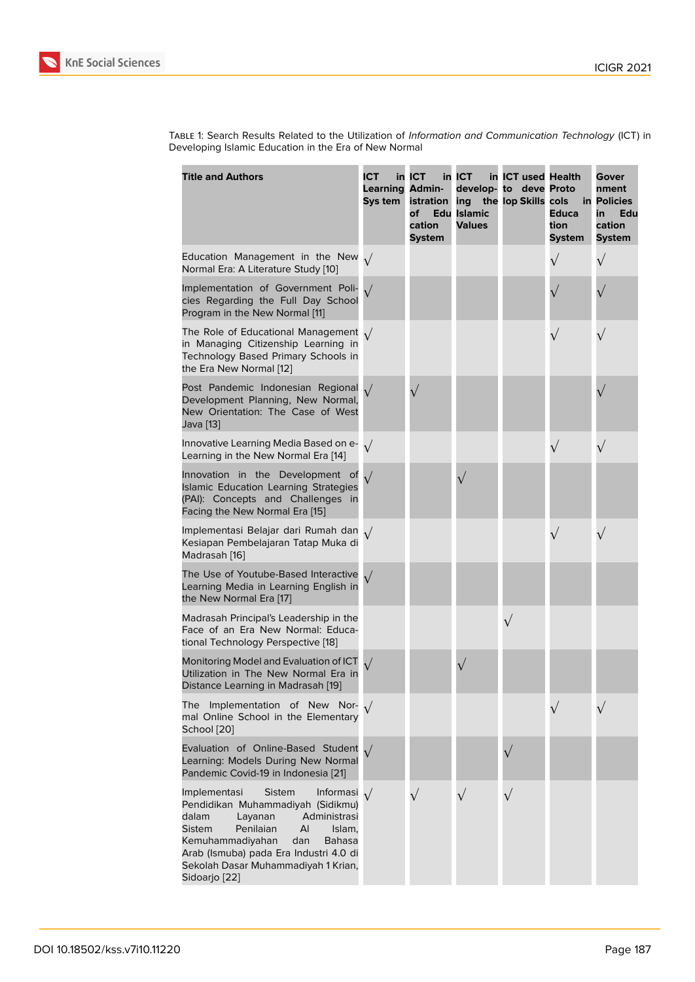Table 1: Search Results Related to the Utilization of *Information and Communication Technology* (ICT) in Developing Islamic Education in the Era of New Normal

| <b>Title and Authors</b>                                                                                                                                                                                                                                                                                           | <b>ICT</b><br><b>Learning Admin-</b><br>Sys tem | in ICT<br>istration<br>of<br>cation<br><b>System</b> | in ICT<br>ing the lop Skills cols<br><b>Edu Islamic</b><br><b>Values</b> | in ICT used Health<br>develop- to deve Proto | <b>Educa</b><br>tion<br><b>System</b> | Gover<br>nment<br>in Policies<br>Edu<br>in<br>cation<br><b>System</b> |
|--------------------------------------------------------------------------------------------------------------------------------------------------------------------------------------------------------------------------------------------------------------------------------------------------------------------|-------------------------------------------------|------------------------------------------------------|--------------------------------------------------------------------------|----------------------------------------------|---------------------------------------|-----------------------------------------------------------------------|
| Education Management in the New $\sqrt{}$<br>Normal Era: A Literature Study [10]                                                                                                                                                                                                                                   |                                                 |                                                      |                                                                          |                                              | $\sqrt{}$                             | $\sqrt{}$                                                             |
| Implementation of Government Poli-<br>cies Regarding the Full Day School<br>Program in the New Normal [11]                                                                                                                                                                                                         | $\sqrt{}$                                       |                                                      |                                                                          |                                              |                                       |                                                                       |
| The Role of Educational Management $\sqrt{}$<br>in Managing Citizenship Learning in<br>Technology Based Primary Schools in<br>the Era New Normal [12]                                                                                                                                                              |                                                 |                                                      |                                                                          |                                              | $\sqrt{}$                             |                                                                       |
| Post Pandemic Indonesian Regional $\sqrt{}$<br>Development Planning, New Normal,<br>New Orientation: The Case of West<br>Java [13]                                                                                                                                                                                 |                                                 |                                                      |                                                                          |                                              |                                       |                                                                       |
| Innovative Learning Media Based on e-<br>Learning in the New Normal Era [14]                                                                                                                                                                                                                                       | $\sqrt{ }$                                      |                                                      |                                                                          |                                              | $\sqrt{}$                             |                                                                       |
| Innovation in the Development of<br><b>Islamic Education Learning Strategies</b><br>(PAI): Concepts and Challenges in<br>Facing the New Normal Era [15]                                                                                                                                                            |                                                 |                                                      |                                                                          |                                              |                                       |                                                                       |
| Implementasi Belajar dari Rumah dan 1/<br>Kesiapan Pembelajaran Tatap Muka di<br>Madrasah [16]                                                                                                                                                                                                                     |                                                 |                                                      |                                                                          |                                              | $\sqrt{}$                             |                                                                       |
| The Use of Youtube-Based Interactive<br>Learning Media in Learning English in<br>the New Normal Era [17]                                                                                                                                                                                                           |                                                 |                                                      |                                                                          |                                              |                                       |                                                                       |
| Madrasah Principal's Leadership in the<br>Face of an Era New Normal: Educa-<br>tional Technology Perspective [18]                                                                                                                                                                                                  |                                                 |                                                      |                                                                          | $\sqrt{}$                                    |                                       |                                                                       |
| Monitoring Model and Evaluation of ICT<br>Utilization in The New Normal Era in<br>Distance Learning in Madrasah [19]                                                                                                                                                                                               |                                                 |                                                      |                                                                          |                                              |                                       |                                                                       |
| Implementation of New Nor-<br>The<br>mal Online School in the Elementary<br>School [20]                                                                                                                                                                                                                            |                                                 |                                                      |                                                                          |                                              |                                       |                                                                       |
| Evaluation of Online-Based Student<br>Learning: Models During New Normal<br>Pandemic Covid-19 in Indonesia [21]                                                                                                                                                                                                    |                                                 |                                                      |                                                                          |                                              |                                       |                                                                       |
| Implementasi<br><b>Sistem</b><br>Informasi $\sqrt{}$<br>Pendidikan Muhammadiyah (Sidikmu)<br>dalam<br>Layanan<br>Administrasi<br>Penilaian<br>AI<br>Sistem<br>Islam,<br>Kemuhammadiyahan<br>dan<br><b>Bahasa</b><br>Arab (Ismuba) pada Era Industri 4.0 di<br>Sekolah Dasar Muhammadiyah 1 Krian,<br>Sidoarjo [22] |                                                 | $\sqrt{}$                                            | $\sqrt{}$                                                                |                                              |                                       |                                                                       |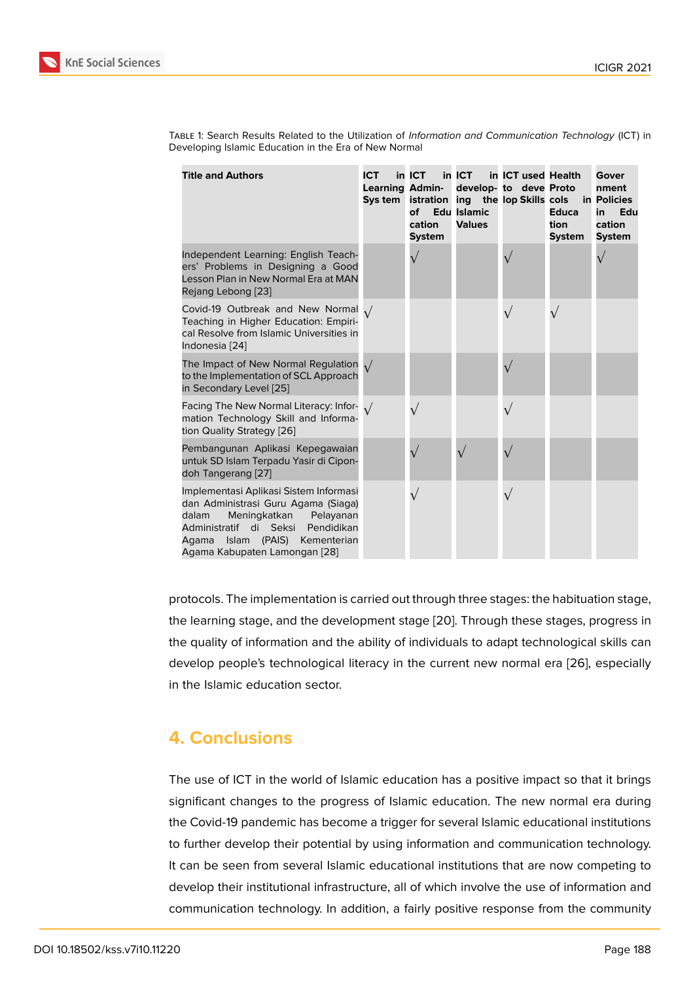| <b>Title and Authors</b>                                                                                                                                                                                                          | <b>ICT</b><br><b>Learning Admin-</b><br>Sys tem | in ICT<br>of<br>cation<br><b>System</b> | $in$ ICT<br><b>Edu Islamic</b><br><b>Values</b> | in ICT used Health<br>develop- to deve Proto<br>istration ing the lop Skills cols | <b>Educa</b><br>tion<br><b>System</b> | Gover<br>nment<br>in Policies<br>Edu<br>in<br>cation<br><b>System</b> |
|-----------------------------------------------------------------------------------------------------------------------------------------------------------------------------------------------------------------------------------|-------------------------------------------------|-----------------------------------------|-------------------------------------------------|-----------------------------------------------------------------------------------|---------------------------------------|-----------------------------------------------------------------------|
| Independent Learning: English Teach-<br>ers' Problems in Designing a Good<br>Lesson Plan in New Normal Era at MAN<br>Rejang Lebong [23]                                                                                           |                                                 | $\sqrt{}$                               |                                                 |                                                                                   |                                       |                                                                       |
| Covid-19 Outbreak and New Normal $\sqrt{}$<br>Teaching in Higher Education: Empiri-<br>cal Resolve from Islamic Universities in<br>Indonesia [24]                                                                                 |                                                 |                                         |                                                 |                                                                                   |                                       |                                                                       |
| The Impact of New Normal Regulation $\sqrt{}$<br>to the Implementation of SCL Approach<br>in Secondary Level [25]                                                                                                                 |                                                 |                                         |                                                 |                                                                                   |                                       |                                                                       |
| Facing The New Normal Literacy: Infor- $\sqrt{}$<br>mation Technology Skill and Informa-<br>tion Quality Strategy [26]                                                                                                            |                                                 |                                         |                                                 |                                                                                   |                                       |                                                                       |
| Pembangunan Aplikasi Kepegawaian<br>untuk SD Islam Terpadu Yasir di Cipon-<br>doh Tangerang [27]                                                                                                                                  |                                                 |                                         |                                                 |                                                                                   |                                       |                                                                       |
| Implementasi Aplikasi Sistem Informasi<br>dan Administrasi Guru Agama (Siaga)<br>dalam<br>Meningkatkan<br>Pelayanan<br>Administratif di Seksi Pendidikan<br>Islam (PAIS)<br>Agama<br>Kementerian<br>Agama Kabupaten Lamongan [28] |                                                 | $\sqrt{}$                               |                                                 |                                                                                   |                                       |                                                                       |

Table 1: Search Results Related to the Utilization of *Information and Communication Technology* (ICT) in Developing Islamic Education in the Era of New Normal

protocols. The implementation is carried out through three stages: the habituation stage, the learning stage, and the [de](#page-9-1)velopment stage [20]. Through these stages, progress in the quality of information and the ability of individuals to adapt technological skills can develop people's technological literacy in the current new normal era [26], especially in the Islamic education sector.

# **4. Conclusions**

The use of ICT in the world of Islamic education has a positive impact so that it brings significant changes to the progress of Islamic education. The new normal era during the Covid-19 pandemic has become a trigger for several Islamic educational institutions to further develop their potential by using information and communication technology. It can be seen from several Islamic educational institutions that are now competing to develop their institutional infrastructure, all of which involve the use of information and communication technology. In addition, a fairly positive response from the community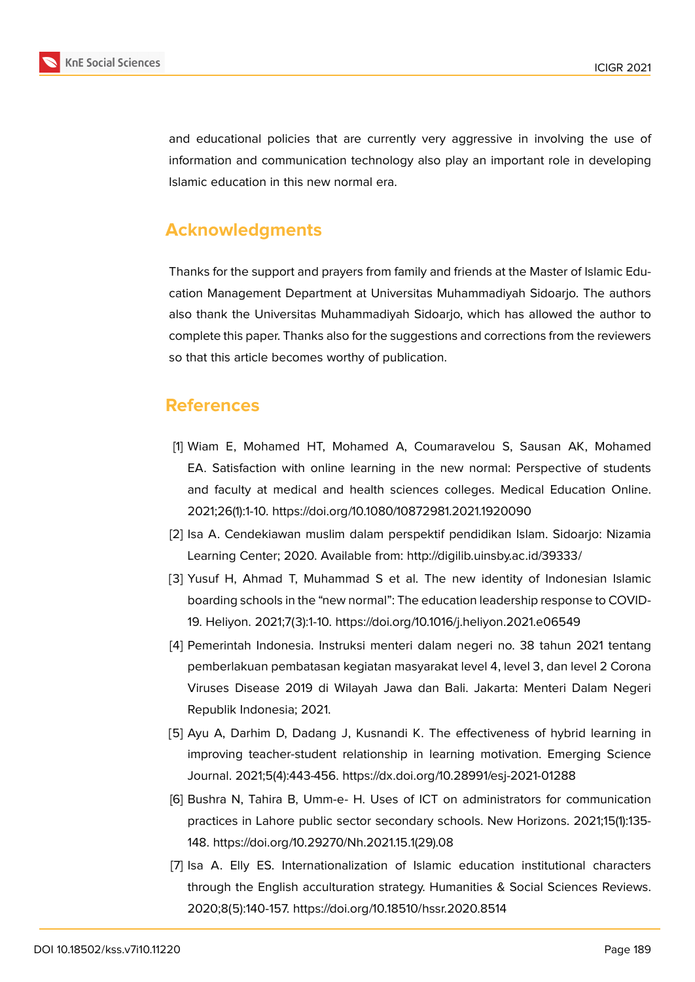

and educational policies that are currently very aggressive in involving the use of information and communication technology also play an important role in developing Islamic education in this new normal era.

# **Acknowledgments**

Thanks for the support and prayers from family and friends at the Master of Islamic Education Management Department at Universitas Muhammadiyah Sidoarjo. The authors also thank the Universitas Muhammadiyah Sidoarjo, which has allowed the author to complete this paper. Thanks also for the suggestions and corrections from the reviewers so that this article becomes worthy of publication.

## **References**

- <span id="page-6-0"></span>[1] Wiam E, Mohamed HT, Mohamed A, Coumaravelou S, Sausan AK, Mohamed EA. Satisfaction with online learning in the new normal: Perspective of students and faculty at medical and health sciences colleges. Medical Education Online. 2021;26(1):1-10. https://doi.org/10.1080/10872981.2021.1920090
- [2] Isa A. Cendekiawan muslim dalam perspektif pendidikan Islam. Sidoarjo: Nizamia Learning Center; 2020. Available from: http://digilib.uinsby.ac.id/39333/
- <span id="page-6-1"></span>[3] Yusuf H, Ahmad T, Muhammad S et al. The new identity of Indonesian Islamic boarding schools in the "new normal": The education leadership response to COVID-19. Heliyon. 2021;7(3):1-10. https://doi.org/10.1016/j.heliyon.2021.e06549
- <span id="page-6-2"></span>[4] Pemerintah Indonesia. Instruksi menteri dalam negeri no. 38 tahun 2021 tentang pemberlakuan pembatasan kegiatan masyarakat level 4, level 3, dan level 2 Corona Viruses Disease 2019 di Wilayah Jawa dan Bali. Jakarta: Menteri Dalam Negeri Republik Indonesia; 2021.
- <span id="page-6-3"></span>[5] Ayu A, Darhim D, Dadang J, Kusnandi K. The effectiveness of hybrid learning in improving teacher-student relationship in learning motivation. Emerging Science Journal. 2021;5(4):443-456. https://dx.doi.org/10.28991/esj-2021-01288
- <span id="page-6-4"></span>[6] Bushra N, Tahira B, Umm-e- H. Uses of ICT on administrators for communication practices in Lahore public sector secondary schools. New Horizons. 2021;15(1):135- 148. https://doi.org/10.29270/Nh.2021.15.1(29).08
- <span id="page-6-5"></span>[7] Isa A. Elly ES. Internationalization of Islamic education institutional characters through the English acculturation strategy. Humanities & Social Sciences Reviews. 2020;8(5):140-157. https://doi.org/10.18510/hssr.2020.8514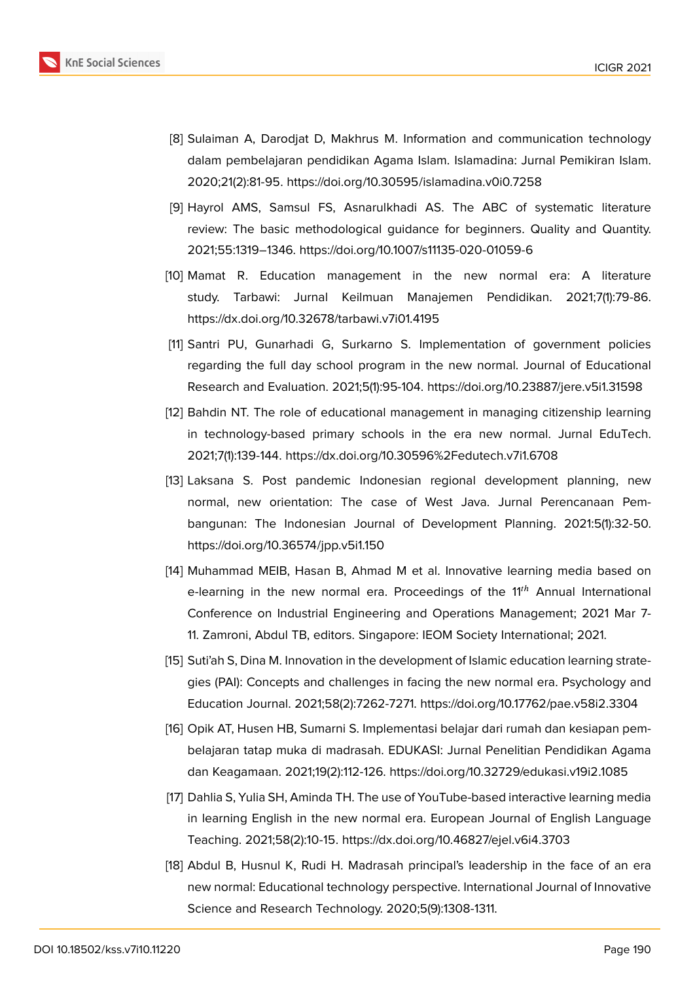

- <span id="page-7-0"></span>[8] Sulaiman A, Darodjat D, Makhrus M. Information and communication technology dalam pembelajaran pendidikan Agama Islam. Islamadina: Jurnal Pemikiran Islam. 2020;21(2):81-95. https://doi.org/10.30595/islamadina.v0i0.7258
- <span id="page-7-1"></span>[9] Hayrol AMS, Samsul FS, Asnarulkhadi AS. The ABC of systematic literature review: The basic methodological guidance for beginners. Quality and Quantity. 2021;55:1319–1346. https://doi.org/10.1007/s11135-020-01059-6
- <span id="page-7-2"></span>[10] Mamat R. Education management in the new normal era: A literature study. Tarbawi: Jurnal Keilmuan Manajemen Pendidikan. 2021;7(1):79-86. https://dx.doi.org/10.32678/tarbawi.v7i01.4195
- [11] Santri PU, Gunarhadi G, Surkarno S. Implementation of government policies regarding the full day school program in the new normal. Journal of Educational Research and Evaluation. 2021;5(1):95-104. https://doi.org/10.23887/jere.v5i1.31598
- [12] Bahdin NT. The role of educational management in managing citizenship learning in technology-based primary schools in the era new normal. Jurnal EduTech. 2021;7(1):139-144. https://dx.doi.org/10.30596%2Fedutech.v7i1.6708
- <span id="page-7-3"></span>[13] Laksana S. Post pandemic Indonesian regional development planning, new normal, new orientation: The case of West Java. Jurnal Perencanaan Pembangunan: The Indonesian Journal of Development Planning. 2021:5(1):32-50. https://doi.org/10.36574/jpp.v5i1.150
- [14] Muhammad MEIB, Hasan B, Ahmad M et al. Innovative learning media based on e-learning in the new normal era. Proceedings of the  $11<sup>th</sup>$  Annual International Conference on Industrial Engineering and Operations Management; 2021 Mar 7- 11. Zamroni, Abdul TB, editors. Singapore: IEOM Society International; 2021.
- <span id="page-7-4"></span>[15] Suti'ah S, Dina M. Innovation in the development of Islamic education learning strategies (PAI): Concepts and challenges in facing the new normal era. Psychology and Education Journal. 2021;58(2):7262-7271. https://doi.org/10.17762/pae.v58i2.3304
- <span id="page-7-5"></span>[16] Opik AT, Husen HB, Sumarni S. Implementasi belajar dari rumah dan kesiapan pembelajaran tatap muka di madrasah. EDUKASI: Jurnal Penelitian Pendidikan Agama dan Keagamaan. 2021;19(2):112-126. https://doi.org/10.32729/edukasi.v19i2.1085
- <span id="page-7-6"></span>[17] Dahlia S, Yulia SH, Aminda TH. The use of YouTube-based interactive learning media in learning English in the new normal era. European Journal of English Language Teaching. 2021;58(2):10-15. https://dx.doi.org/10.46827/ejel.v6i4.3703
- <span id="page-7-7"></span>[18] Abdul B, Husnul K, Rudi H. Madrasah principal's leadership in the face of an era new normal: Educational technology perspective. International Journal of Innovative Science and Research Technology. 2020;5(9):1308-1311.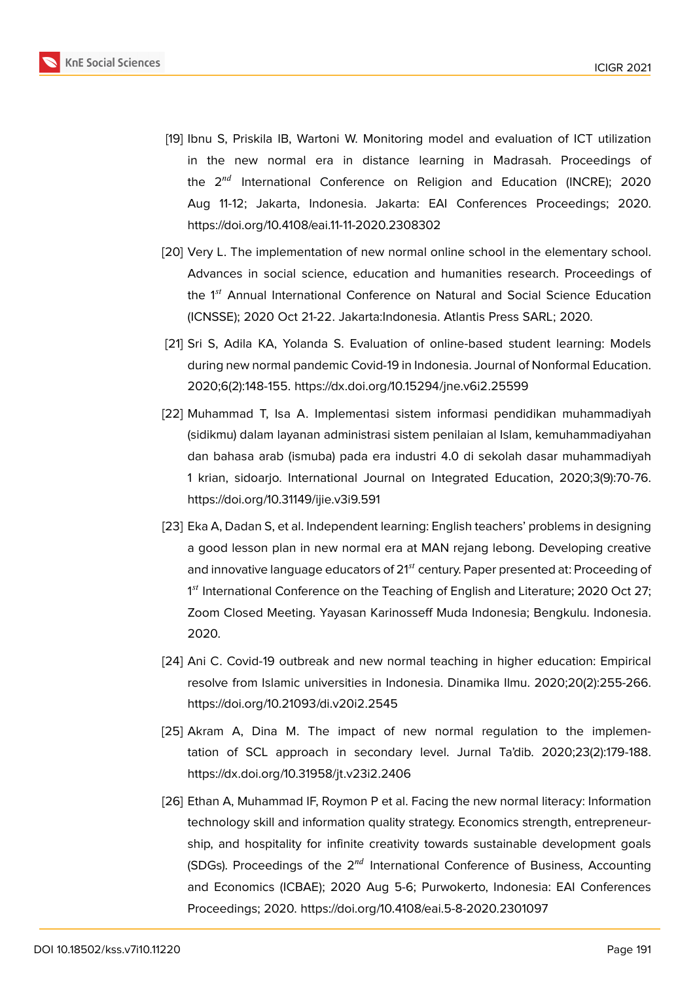

- <span id="page-8-0"></span>[19] Ibnu S, Priskila IB, Wartoni W. Monitoring model and evaluation of ICT utilization in the new normal era in distance learning in Madrasah. Proceedings of the  $2^{nd}$  International Conference on Religion and Education (INCRE); 2020 Aug 11-12; Jakarta, Indonesia. Jakarta: EAI Conferences Proceedings; 2020. https://doi.org/10.4108/eai.11-11-2020.2308302
- <span id="page-8-1"></span>[20] Very L. The implementation of new normal online school in the elementary school. Advances in social science, education and humanities research. Proceedings of the 1<sup>st</sup> Annual International Conference on Natural and Social Science Education (ICNSSE); 2020 Oct 21-22. Jakarta:Indonesia. Atlantis Press SARL; 2020.
- <span id="page-8-2"></span>[21] Sri S, Adila KA, Yolanda S. Evaluation of online-based student learning: Models during new normal pandemic Covid-19 in Indonesia. Journal of Nonformal Education. 2020;6(2):148-155. https://dx.doi.org/10.15294/jne.v6i2.25599
- [22] Muhammad T, Isa A. Implementasi sistem informasi pendidikan muhammadiyah (sidikmu) dalam layanan administrasi sistem penilaian al Islam, kemuhammadiyahan dan bahasa arab (ismuba) pada era industri 4.0 di sekolah dasar muhammadiyah 1 krian, sidoarjo. International Journal on Integrated Education, 2020;3(9):70-76. https://doi.org/10.31149/ijie.v3i9.591
- [23] Eka A, Dadan S, et al. Independent learning: English teachers' problems in designing a good lesson plan in new normal era at MAN rejang lebong. Developing creative and innovative language educators of  $21<sup>st</sup>$  century. Paper presented at: Proceeding of 1<sup>st</sup> International Conference on the Teaching of English and Literature; 2020 Oct 27; Zoom Closed Meeting. Yayasan Karinosseff Muda Indonesia; Bengkulu. Indonesia. 2020.
- <span id="page-8-3"></span>[24] Ani C. Covid-19 outbreak and new normal teaching in higher education: Empirical resolve from Islamic universities in Indonesia. Dinamika Ilmu. 2020;20(2):255-266. https://doi.org/10.21093/di.v20i2.2545
- <span id="page-8-4"></span>[25] Akram A, Dina M. The impact of new normal regulation to the implementation of SCL approach in secondary level. Jurnal Ta'dib. 2020;23(2):179-188. https://dx.doi.org/10.31958/jt.v23i2.2406
- <span id="page-8-5"></span>[26] Ethan A, Muhammad IF, Roymon P et al. Facing the new normal literacy: Information technology skill and information quality strategy. Economics strength, entrepreneurship, and hospitality for infinite creativity towards sustainable development goals (SDGs). Proceedings of the  $2^{nd}$  International Conference of Business, Accounting and Economics (ICBAE); 2020 Aug 5-6; Purwokerto, Indonesia: EAI Conferences Proceedings; 2020. https://doi.org/10.4108/eai.5-8-2020.2301097